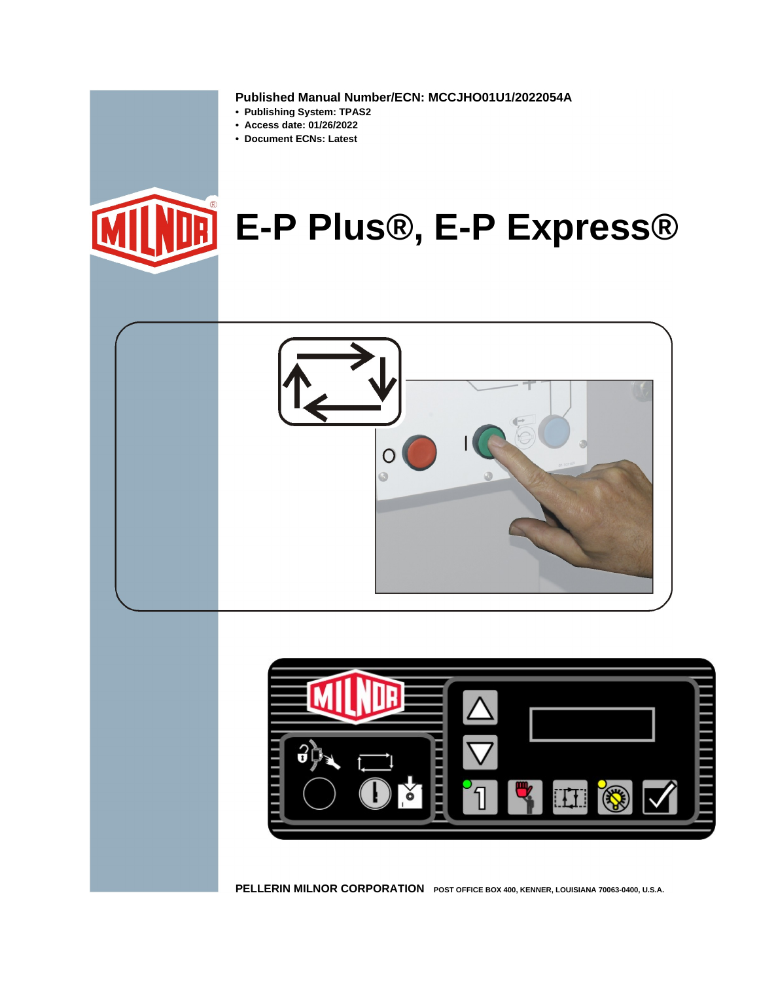**Published Manual Number/ECN: MCCJHO01U1/2022054A**

- **Publishing System: TPAS2**
- **Access date: 01/26/2022**
- **Document ECNs: Latest**







**PELLERIN MILNOR CORPORATION POST OFFICE BOX 400, KENNER, LOUISIANA 70063-0400, U.S.A.**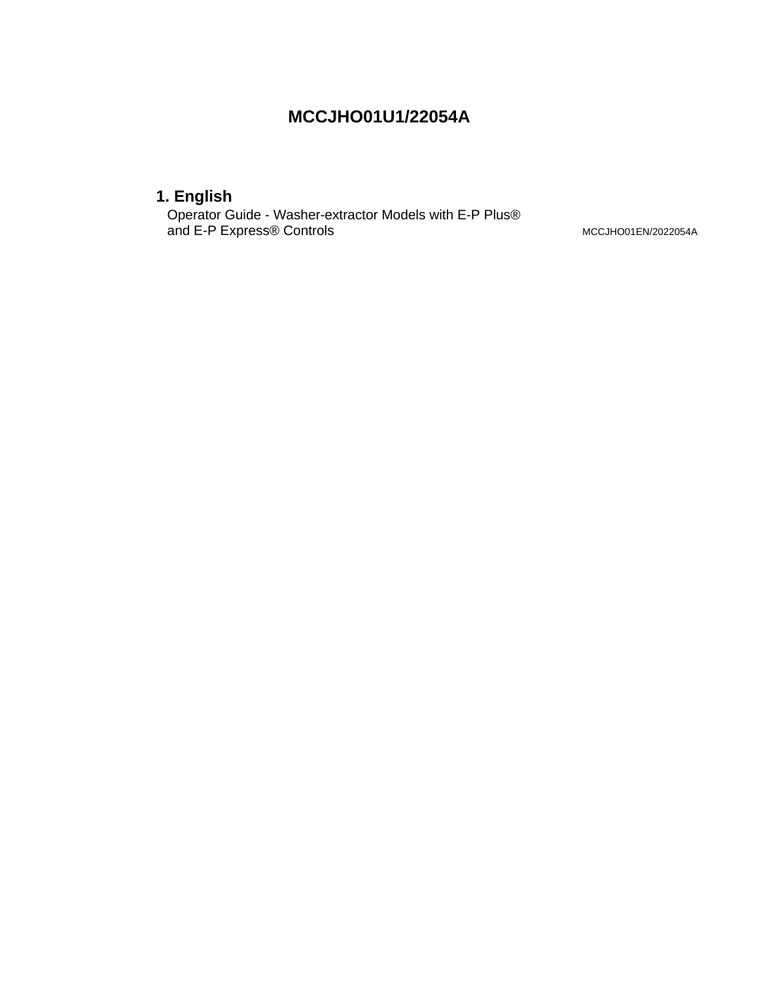### **MCCJHO01U1/22054A**

### **1. English**

Operator Guide - Washer-extractor Models with E-P Plus® and E-P Express® Controls MCCJHO01EN/2022054A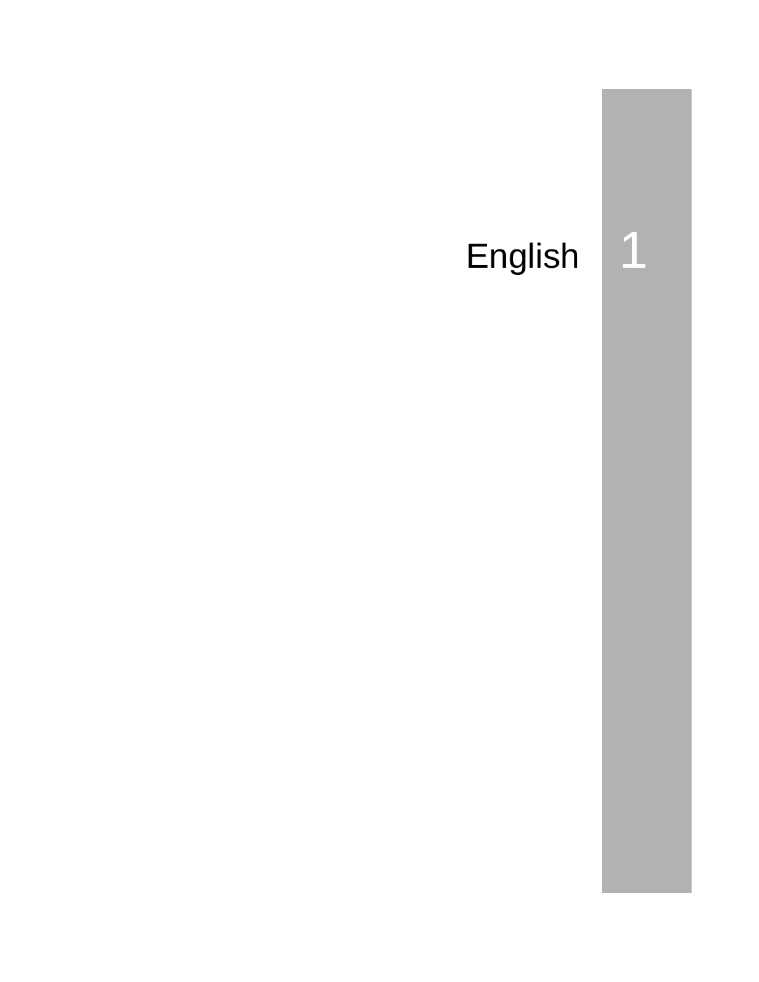# English

 $\overline{\mathbf{1}}$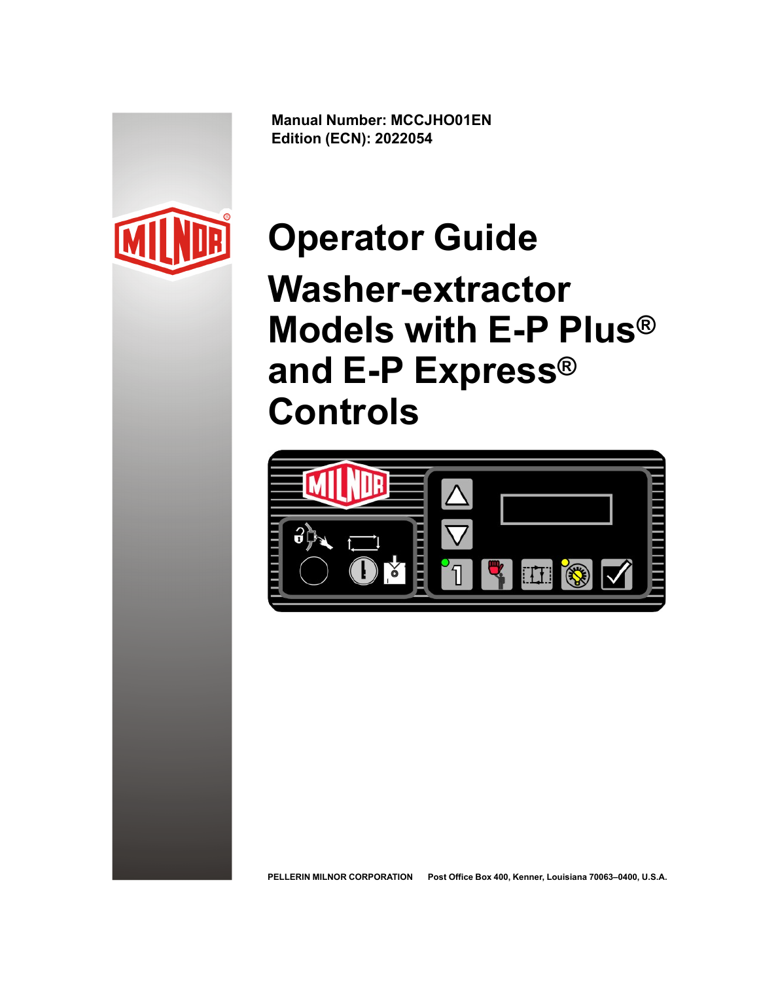**Manual Number: MCCJHO01EN Edition (ECN): 2022054**



# **Operator Guide**

**Washer-extractor Models with E-P Plus® and E-P Express® Controls**



**PELLERIN MILNOR CORPORATION Post Office Box 400, Kenner, Louisiana 70063–0400, U.S.A.**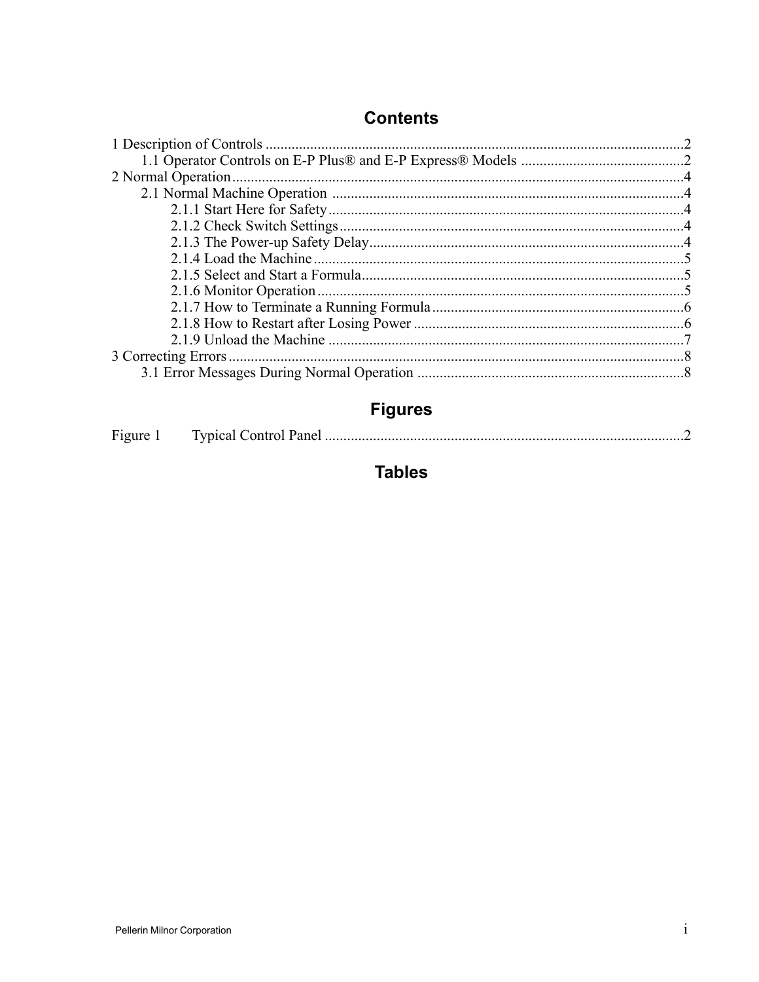### **Contents**

## **Figures**

|--|--|--|--|

### **Tables**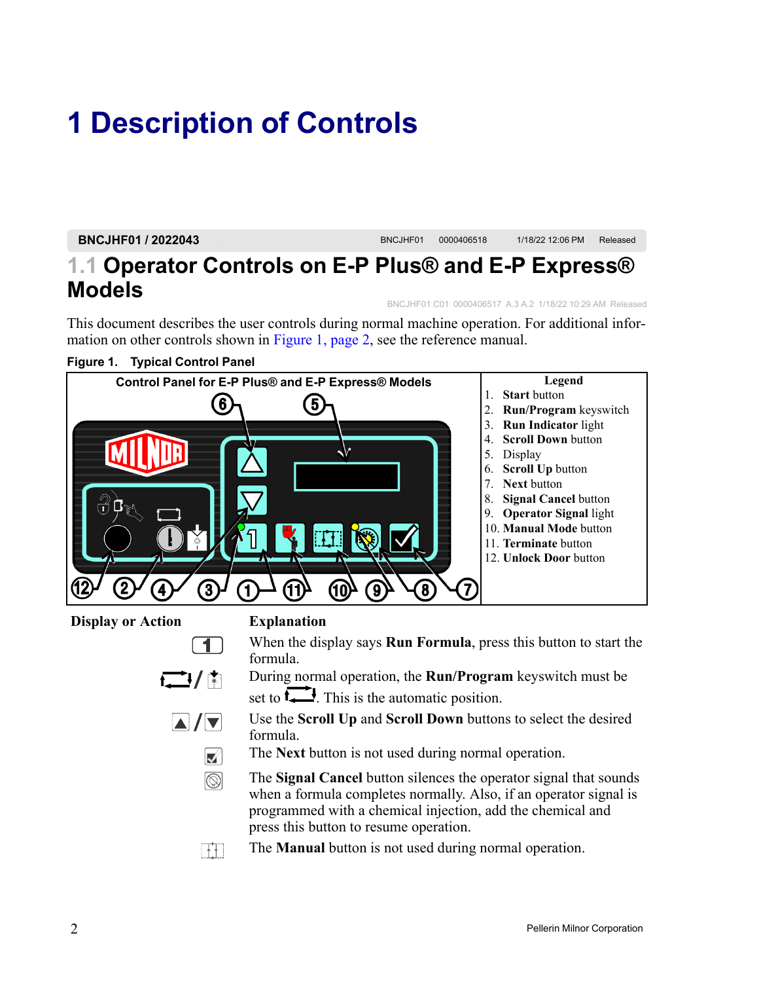# <span id="page-8-0"></span>**1 Description of Controls**

**BNCJHF01 / 2022043** BNCJHF01 <sup>0000406518</sup> 1/18/22 12:06 PM Released

### <span id="page-8-1"></span>**1.1 Operator Controls on E-P Plus® and E-P Express® Models** BNCJHF01.C01 0000406517 A.3 A.2 1/18/22 10:29 AM Released

This document describes the user controls during normal machine operation. For additional information on other controls shown in [Figure](#page-8-2) 1, page 2, see the reference manual.

<span id="page-8-2"></span>

- Use the **Scroll Up** and **Scroll Down** buttons to select the desired  $\blacksquare/\blacksquare$ formula.
	- The **Next** button is not used during normal operation.  $|\mathbf{z}|\rangle$
	- $\circledS$ The **Signal Cancel** button silences the operator signal that sounds when a formula completes normally. Also, if an operator signal is programmed with a chemical injection, add the chemical and press this button to resume operation.
	- The **Manual** button is not used during normal operation. $\Box$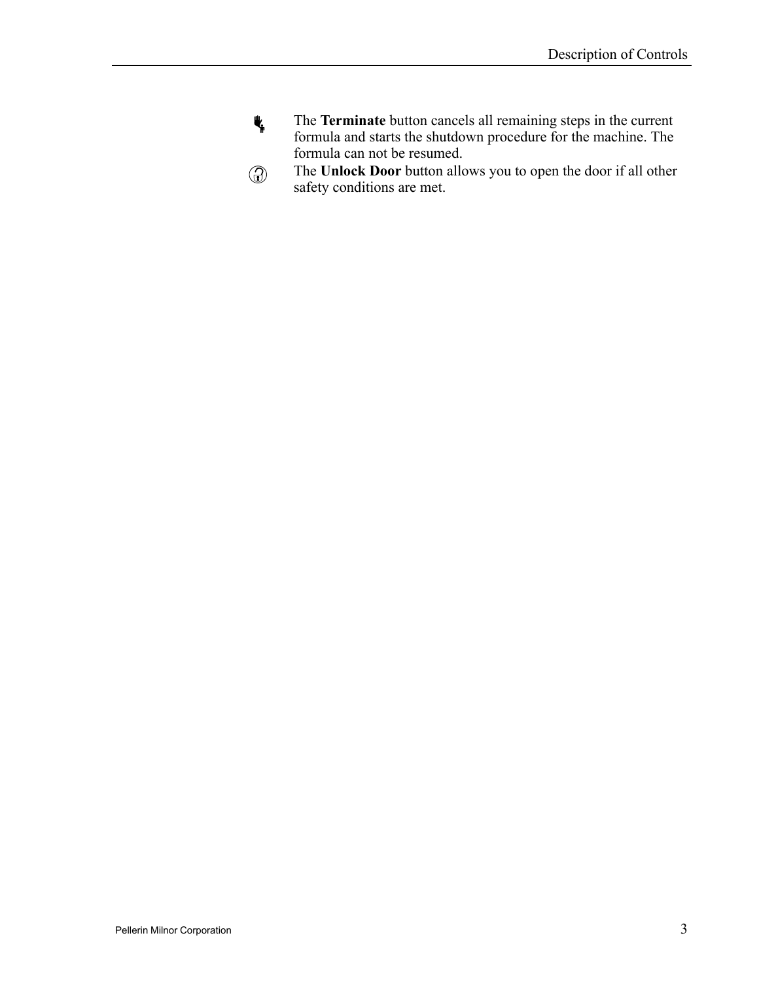- $\Psi$ The **Terminate** button cancels all remaining steps in the current formula and starts the shutdown procedure for the machine. The formula can not be resumed.
- The **Unlock Door** button allows you to open the door if all other  $\circledcirc$ safety conditions are met.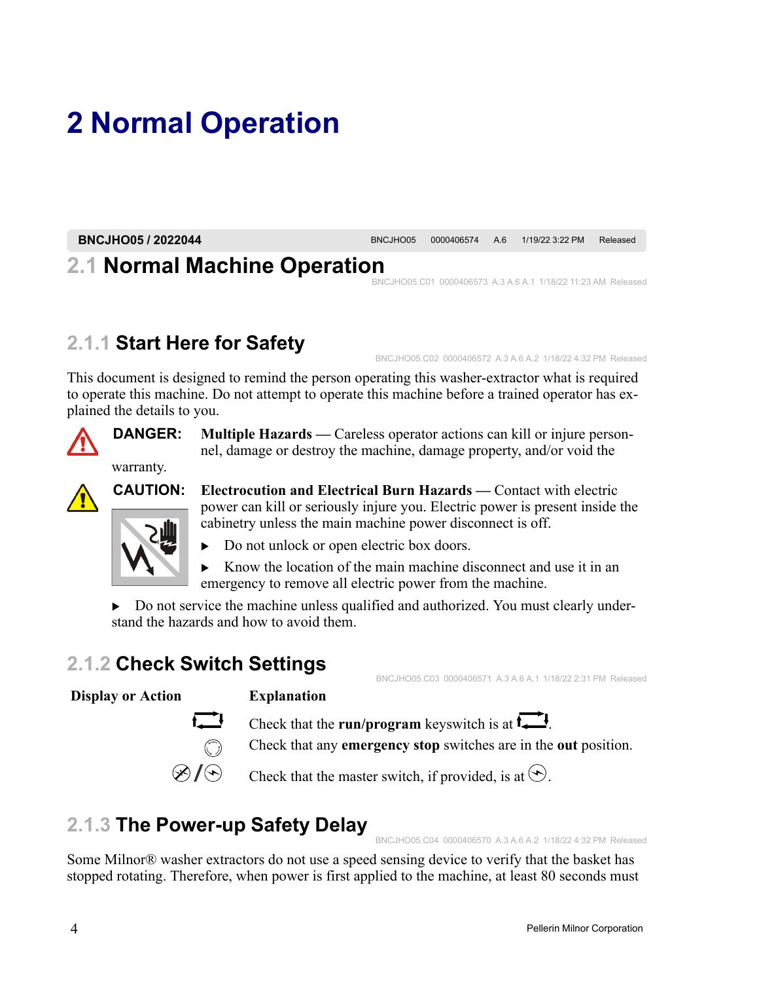# <span id="page-10-0"></span>**2 Normal Operation**

**BNCJHO05 / 2022044** BNCJHO05 <sup>0000406574</sup> A.6 1/19/22 3:22 PM Released

## <span id="page-10-1"></span>**2.1 Normal Machine Operation**

BNCJHO05.C01 0000406573 A.3 A.6 A.1 1/18/22 11:23 AM Released

## <span id="page-10-2"></span>**2.1.1 Start Here for Safety**

BNCJHO05.C02 0000406572 A.3 A.6 A.2 1/18/22 4:32 PM Released

This document is designed to remind the person operating this washer-extractor what is required to operate this machine. Do not attempt to operate this machine before a trained operator has explained the details to you.



**DANGER: Multiple Hazards —** Careless operator actions can kill or injure personnel, damage or destroy the machine, damage property, and/or void the



**CAUTION: Electrocution and Electrical Burn Hazards —** Contact with electric power can kill or seriously injure you. Electric power is present inside the cabinetry unless the main machine power disconnect is off.



warranty.

- � Do not unlock or open electric box doors.
- $\triangleright$  Know the location of the main machine disconnect and use it in an emergency to remove all electric power from the machine.

 $\triangleright$  Do not service the machine unless qualified and authorized. You must clearly understand the hazards and how to avoid them.

## <span id="page-10-3"></span>**2.1.2 Check Switch Settings**

### **Display or Action Explanation**



Check that the **run/program** keyswitch is at  $\overline{\mathbf{L}}$ .

Check that any **emergency stop** switches are in the **out** position.

Check that the master switch, if provided, is at  $\odot$ .

## <span id="page-10-4"></span>**2.1.3 The Power-up Safety Delay**

BNCJHO05.C04 0000406570 A.3 A.6 A.2 1/18/22 4:32 PM Released

BNCJHO05.C03 0000406571 A.3 A.6 A.1 1/18/22 2:31 PM Released

Some Milnor® washer extractors do not use a speed sensing device to verify that the basket has stopped rotating. Therefore, when power is first applied to the machine, at least 80 seconds must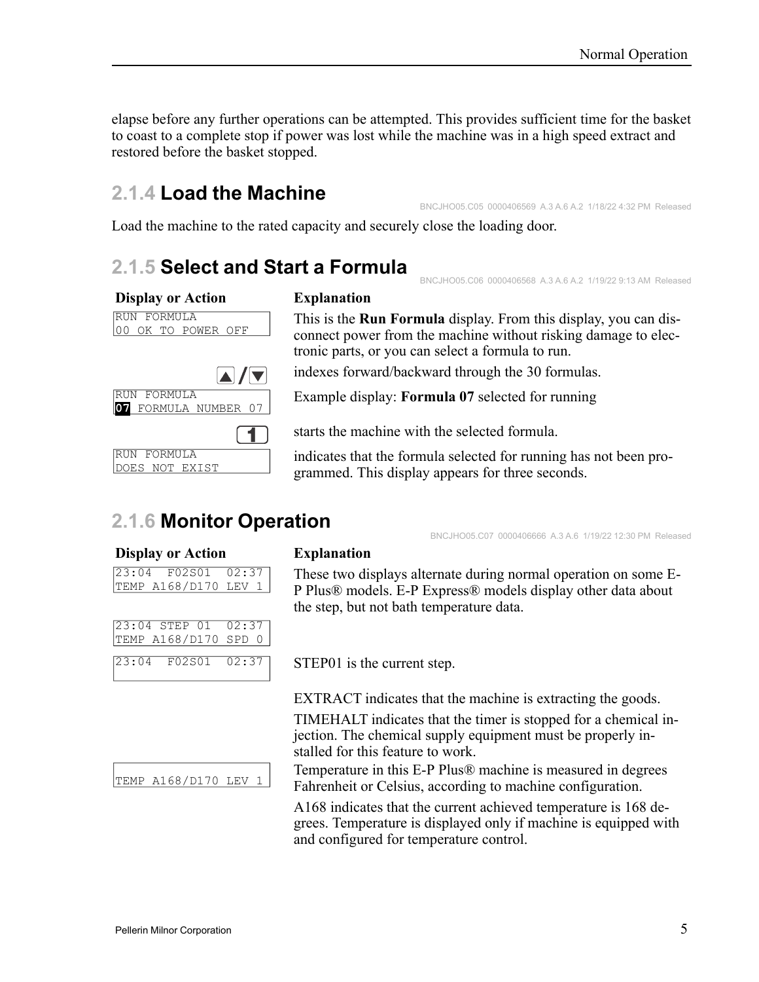elapse before any further operations can be attempted. This provides sufficient time for the basket to coast to a complete stop if power was lost while the machine was in a high speed extract and restored before the basket stopped.

### <span id="page-11-0"></span>**2.1.4 Load the Machine**

BNCJHO05.C05 0000406569 A.3 A.6 A.2 1/18/22 4:32 PM Released

BNCJHO05.C06 0000406568 A.3 A.6 A.2 1/19/22 9:13 AM Released

BNCJHO05.C07 0000406666 A.3 A.6 1/19/22 12:30 PM Released

Load the machine to the rated capacity and securely close the loading door.

### <span id="page-11-1"></span>**2.1.5 Select and Start a Formula**

### **Display or Action Explanation**

### RUN FORMULA 00 OK TO POWER OFF AI /IV RUN FORMULA 1 RUN FORMULA DOES NOT EXIST

This is the **Run Formula** display. From this display, you can disconnect power from the machine without risking damage to electronic parts, or you can select a formula to run.

indexes forward/backward through the 30 formulas.

**<sup>07</sup>** FORMULA NUMBER <sup>07</sup> Example display: **Formula <sup>07</sup>** selected for running

starts the machine with the selected formula.

indicates that the formula selected for running has not been programmed. This display appears for three seconds.

### <span id="page-11-2"></span>**2.1.6 Monitor Operation**

### **Display or Action Explanation**

23:04 F02S01 02:37 TEMP A168/D170 LEV 1

| 23:04 STEP 01 02:37      |  |
|--------------------------|--|
| TEMP A168/D170 SPD 0     |  |
|                          |  |
| $0.2.01$ $0.2001$ $0.27$ |  |

These two displays alternate during normal operation on some E-P Plus® models. E-P Express® models display other data about the step, but not bath temperature data.

 $\begin{array}{ccc} \n\boxed{23:04} & \text{F02S01} & \text{02:37} \\
\end{array}$  STEP01 is the current step.

EXTRACT indicates that the machine is extracting the goods.

TIMEHALT indicates that the timer is stopped for a chemical injection. The chemical supply equipment must be properly installed for this feature to work.

Temperature in this E-P Plus® machine is measured in degrees Fahrenheit or Celsius, according to machine configuration.

A168 indicates that the current achieved temperature is 168 degrees. Temperature is displayed only if machine is equipped with and configured for temperature control.

TEMP A168/D170 LEV 1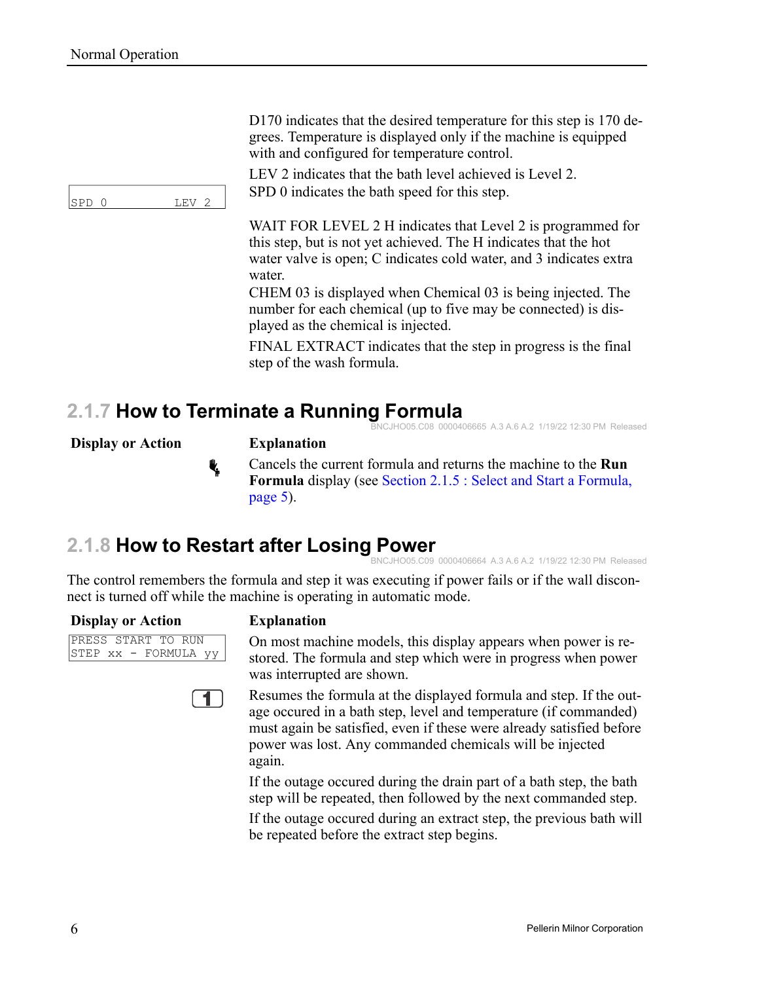SPD 0 LEV 2

D170 indicates that the desired temperature for this step is 170 degrees. Temperature is displayed only if the machine is equipped with and configured for temperature control.

LEV 2 indicates that the bath level achieved is Level 2. SPD 0 indicates the bath speed for this step.

WAIT FOR LEVEL 2 H indicates that Level 2 is programmed for this step, but is not yet achieved. The H indicates that the hot water valve is open; C indicates cold water, and 3 indicates extra water.

CHEM 03 is displayed when Chemical 03 is being injected. The number for each chemical (up to five may be connected) is displayed as the chemical is injected.

FINAL EXTRACT indicates that the step in progress is the final step of the wash formula.

#### <span id="page-12-0"></span>**2.1.7 How to Terminate a Running Formula** O05.C08 0000406665 A.3 A.6 A.2 1/19/22 12:30 PM Released

**Display or Action Explanation**



ł,

Cancels the current formula and returns the machine to the **Run Formula** display (see Section 2.1.5 : Select and Start a [Formula,](#page-11-1) [page](#page-11-1) 5).

### <span id="page-12-1"></span>**2.1.8 How to Restart after Losing Power**

BNCJHO05.C09 0000406664 A.3 A.6 A.2 1/19/22 12:30 PM Released

The control remembers the formula and step it was executing if power fails or if the wall disconnect is turned off while the machine is operating in automatic mode.

### **Display or Action Explanation**

PRESS START TO RUN STEP xx - FORMULA yy



On most machine models, this display appears when power is restored. The formula and step which were in progress when power was interrupted are shown.

Resumes the formula at the displayed formula and step. If the outage occured in a bath step, level and temperature (if commanded) must again be satisfied, even if these were already satisfied before power was lost. Any commanded chemicals will be injected again.

If the outage occured during the drain part of a bath step, the bath step will be repeated, then followed by the next commanded step.

If the outage occured during an extract step, the previous bath will be repeated before the extract step begins.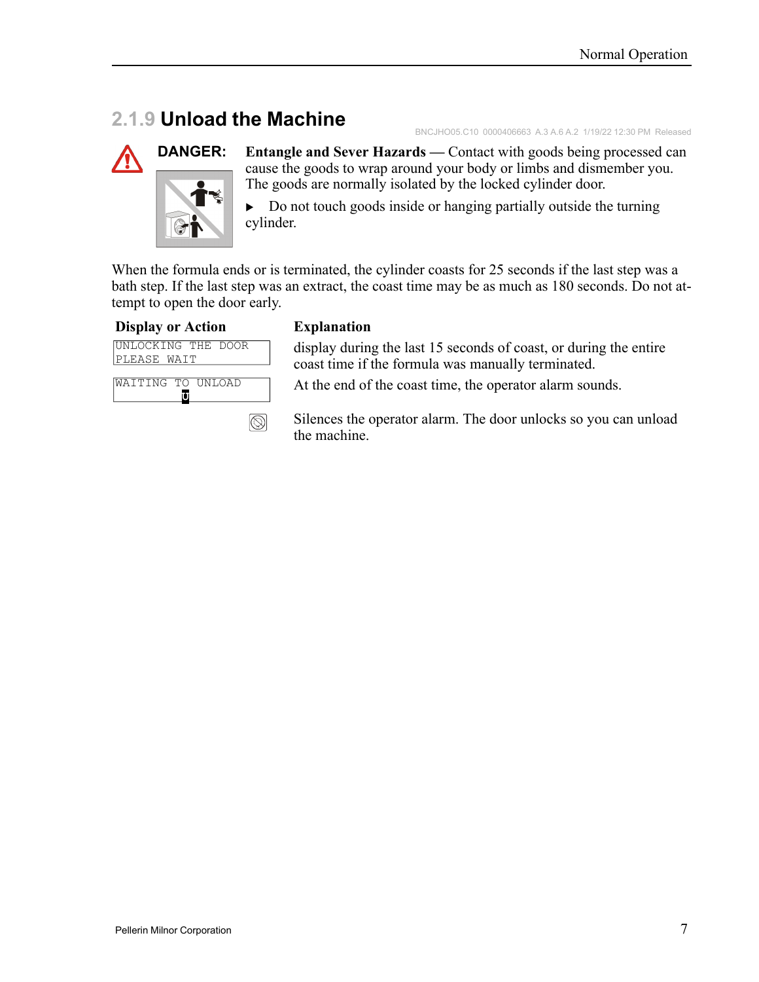### <span id="page-13-0"></span>**2.1.9 Unload the Machine**

BNCJHO05.C10 0000406663 A.3 A.6 A.2 1/19/22 12:30 PM Released



**DANGER: Entangle and Sever Hazards —** Contact with goods being processed can cause the goods to wrap around your body or limbs and dismember you. The goods are normally isolated by the locked cylinder door.

> $\triangleright$  Do not touch goods inside or hanging partially outside the turning cylinder.

When the formula ends or is terminated, the cylinder coasts for 25 seconds if the last step was a bath step. If the last step was an extract, the coast time may be as much as 180 seconds. Do not attempt to open the door early.

### **Display or Action Explanation**



 $\circledS$ 

display during the last 15 seconds of coast, or during the entire coast time if the formula was manually terminated.

At the end of the coast time, the operator alarm sounds.

Silences the operator alarm. The door unlocks so you can unload the machine.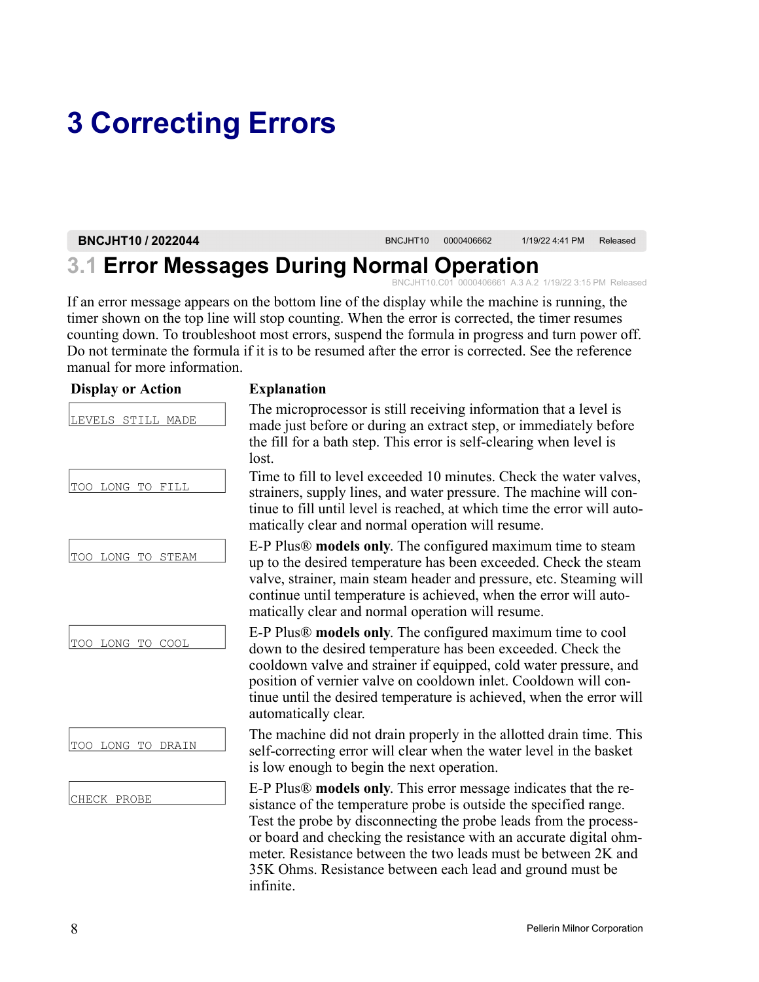# <span id="page-14-0"></span>**3 Correcting Errors**

**BNCJHT10 / 2022044** BNCJHT10 <sup>0000406662</sup> 1/19/22 4:41 PM Released

## <span id="page-14-1"></span>**3.1 Error Messages During Normal Operation**

BNCJHT10.C01 0000406661 A.3 A.2 1/19/22 3:15 PM Released

If an error message appears on the bottom line of the display while the machine is running, the timer shown on the top line will stop counting. When the error is corrected, the timer resumes counting down. To troubleshoot most errors, suspend the formula in progress and turn power off. Do not terminate the formula if it is to be resumed after the error is corrected. See the reference manual for more information.

| <b>Display or Action</b> | <b>Explanation</b>                                                                                                                                                                                                                                                                                                                                                                                                           |
|--------------------------|------------------------------------------------------------------------------------------------------------------------------------------------------------------------------------------------------------------------------------------------------------------------------------------------------------------------------------------------------------------------------------------------------------------------------|
| LEVELS STILL MADE        | The microprocessor is still receiving information that a level is<br>made just before or during an extract step, or immediately before<br>the fill for a bath step. This error is self-clearing when level is<br>lost.                                                                                                                                                                                                       |
| TOO LONG TO FILL         | Time to fill to level exceeded 10 minutes. Check the water valves,<br>strainers, supply lines, and water pressure. The machine will con-<br>tinue to fill until level is reached, at which time the error will auto-<br>matically clear and normal operation will resume.                                                                                                                                                    |
| TOO LONG TO STEAM        | E-P Plus® models only. The configured maximum time to steam<br>up to the desired temperature has been exceeded. Check the steam<br>valve, strainer, main steam header and pressure, etc. Steaming will<br>continue until temperature is achieved, when the error will auto-<br>matically clear and normal operation will resume.                                                                                             |
| TOO LONG TO COOL         | E-P Plus® models only. The configured maximum time to cool<br>down to the desired temperature has been exceeded. Check the<br>cooldown valve and strainer if equipped, cold water pressure, and<br>position of vernier valve on cooldown inlet. Cooldown will con-<br>tinue until the desired temperature is achieved, when the error will<br>automatically clear.                                                           |
| TOO LONG TO DRAIN        | The machine did not drain properly in the allotted drain time. This<br>self-correcting error will clear when the water level in the basket<br>is low enough to begin the next operation.                                                                                                                                                                                                                                     |
| CHECK PROBE              | E-P Plus® models only. This error message indicates that the re-<br>sistance of the temperature probe is outside the specified range.<br>Test the probe by disconnecting the probe leads from the process-<br>or board and checking the resistance with an accurate digital ohm-<br>meter. Resistance between the two leads must be between 2K and<br>35K Ohms. Resistance between each lead and ground must be<br>infinite. |